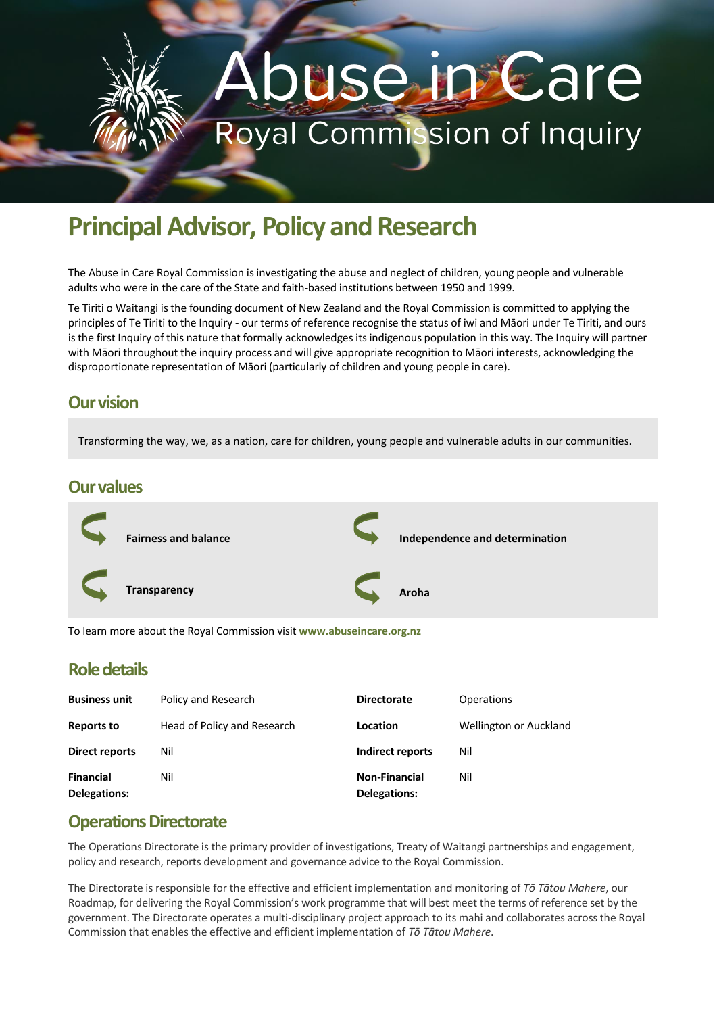# **Use in Care Royal Commission of Inquiry**

# **Principal Advisor, Policy and Research**

The Abuse in Care Royal Commission is investigating the abuse and neglect of children, young people and vulnerable adults who were in the care of the State and faith-based institutions between 1950 and 1999.

Te Tiriti o Waitangi is the founding document of New Zealand and the Royal Commission is committed to applying the principles of Te Tiriti to the Inquiry - our terms of reference recognise the status of iwi and Māori under Te Tiriti, and ours is the first Inquiry of this nature that formally acknowledges its indigenous population in this way. The Inquiry will partner with Māori throughout the inquiry process and will give appropriate recognition to Māori interests, acknowledging the disproportionate representation of Māori (particularly of children and young people in care).

#### **Our vision**

Transforming the way, we, as a nation, care for children, young people and vulnerable adults in our communities.

#### **Our values**



To learn more about the Royal Commission visit **www.abuseincare.org.nz**

#### **Role details**

| <b>Business unit</b>             | Policy and Research         | <b>Directorate</b>                          | Operations             |
|----------------------------------|-----------------------------|---------------------------------------------|------------------------|
| <b>Reports to</b>                | Head of Policy and Research | Location                                    | Wellington or Auckland |
| Direct reports                   | Nil                         | Indirect reports                            | Nil                    |
| <b>Financial</b><br>Delegations: | Nil                         | <b>Non-Financial</b><br><b>Delegations:</b> | Nil                    |

#### **Operations Directorate**

The Operations Directorate is the primary provider of investigations, Treaty of Waitangi partnerships and engagement, policy and research, reports development and governance advice to the Royal Commission.

The Directorate is responsible for the effective and efficient implementation and monitoring of *Tō Tātou Mahere*, our Roadmap, for delivering the Royal Commission's work programme that will best meet the terms of reference set by the government. The Directorate operates a multi-disciplinary project approach to its mahi and collaborates across the Royal Commission that enables the effective and efficient implementation of *Tō Tātou Mahere*.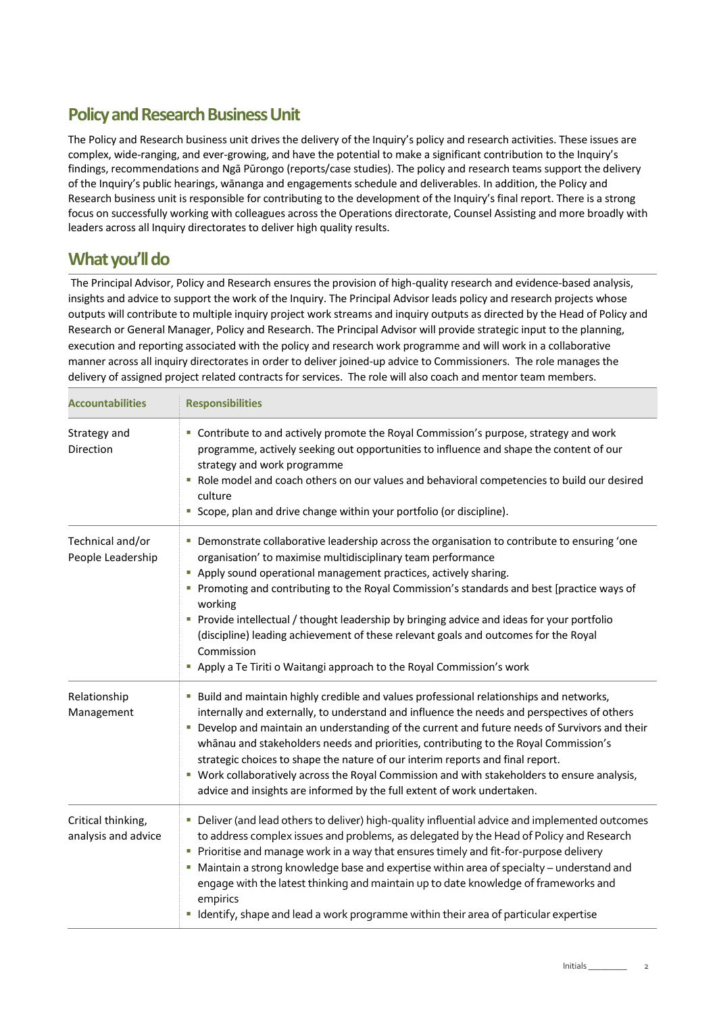#### **Policy and Research Business Unit**

The Policy and Research business unit drives the delivery of the Inquiry's policy and research activities. These issues are complex, wide-ranging, and ever-growing, and have the potential to make a significant contribution to the Inquiry's findings, recommendations and Ngā Pūrongo (reports/case studies). The policy and research teams support the delivery of the Inquiry's public hearings, wānanga and engagements schedule and deliverables. In addition, the Policy and Research business unit is responsible for contributing to the development of the Inquiry's final report. There is a strong focus on successfully working with colleagues across the Operations directorate, Counsel Assisting and more broadly with leaders across all Inquiry directorates to deliver high quality results.

### **What you'll do**

The Principal Advisor, Policy and Research ensures the provision of high-quality research and evidence-based analysis, insights and advice to support the work of the Inquiry. The Principal Advisor leads policy and research projects whose outputs will contribute to multiple inquiry project work streams and inquiry outputs as directed by the Head of Policy and Research or General Manager, Policy and Research. The Principal Advisor will provide strategic input to the planning, execution and reporting associated with the policy and research work programme and will work in a collaborative manner across all inquiry directorates in order to deliver joined-up advice to Commissioners. The role manages the delivery of assigned project related contracts for services. The role will also coach and mentor team members.

| <b>Accountabilities</b>                   | <b>Responsibilities</b><br>" Contribute to and actively promote the Royal Commission's purpose, strategy and work<br>programme, actively seeking out opportunities to influence and shape the content of our<br>strategy and work programme<br>Role model and coach others on our values and behavioral competencies to build our desired<br>×.<br>culture<br>Scope, plan and drive change within your portfolio (or discipline).                                                                                                                                                                                                          |  |
|-------------------------------------------|--------------------------------------------------------------------------------------------------------------------------------------------------------------------------------------------------------------------------------------------------------------------------------------------------------------------------------------------------------------------------------------------------------------------------------------------------------------------------------------------------------------------------------------------------------------------------------------------------------------------------------------------|--|
| Strategy and<br>Direction                 |                                                                                                                                                                                                                                                                                                                                                                                                                                                                                                                                                                                                                                            |  |
| Technical and/or<br>People Leadership     | Demonstrate collaborative leadership across the organisation to contribute to ensuring 'one<br>ш<br>organisation' to maximise multidisciplinary team performance<br>Apply sound operational management practices, actively sharing.<br>Promoting and contributing to the Royal Commission's standards and best [practice ways of<br>working<br>Provide intellectual / thought leadership by bringing advice and ideas for your portfolio<br>a.<br>(discipline) leading achievement of these relevant goals and outcomes for the Royal<br>Commission<br>Apply a Te Tiriti o Waitangi approach to the Royal Commission's work                |  |
| Relationship<br>Management                | Build and maintain highly credible and values professional relationships and networks,<br>internally and externally, to understand and influence the needs and perspectives of others<br>Develop and maintain an understanding of the current and future needs of Survivors and their<br>whanau and stakeholders needs and priorities, contributing to the Royal Commission's<br>strategic choices to shape the nature of our interim reports and final report.<br>" Work collaboratively across the Royal Commission and with stakeholders to ensure analysis,<br>advice and insights are informed by the full extent of work undertaken. |  |
| Critical thinking,<br>analysis and advice | Deliver (and lead others to deliver) high-quality influential advice and implemented outcomes<br>to address complex issues and problems, as delegated by the Head of Policy and Research<br>Prioritise and manage work in a way that ensures timely and fit-for-purpose delivery<br>" Maintain a strong knowledge base and expertise within area of specialty - understand and<br>engage with the latest thinking and maintain up to date knowledge of frameworks and<br>empirics<br>" Identify, shape and lead a work programme within their area of particular expertise                                                                 |  |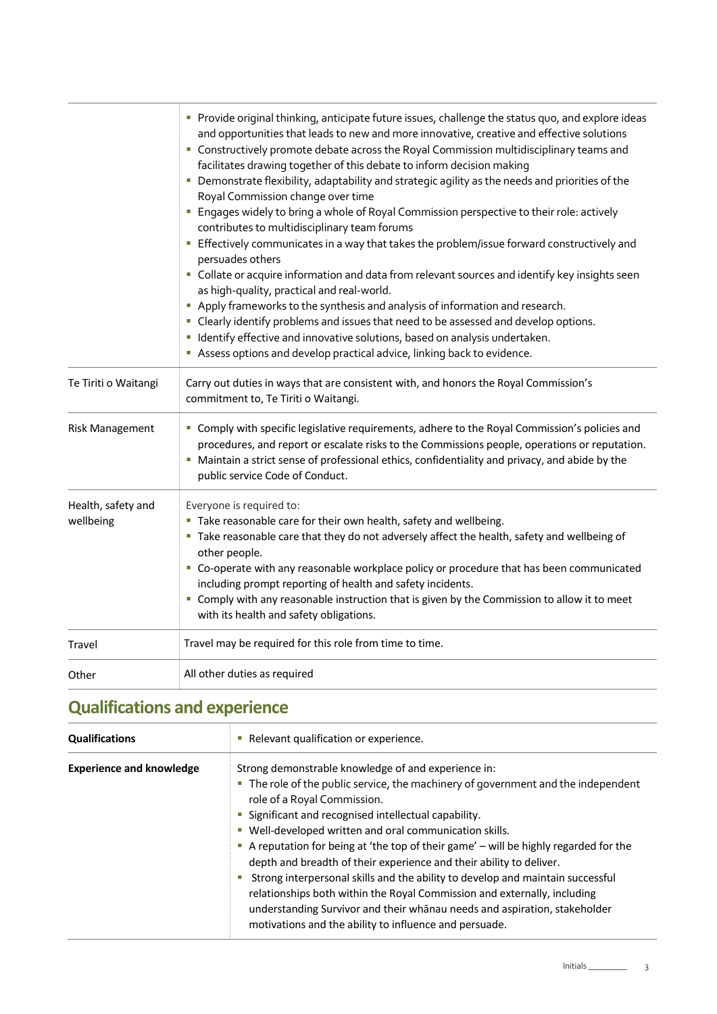|                                 | Provide original thinking, anticipate future issues, challenge the status quo, and explore ideas<br>and opportunities that leads to new and more innovative, creative and effective solutions<br>" Constructively promote debate across the Royal Commission multidisciplinary teams and<br>facilitates drawing together of this debate to inform decision making<br>" Demonstrate flexibility, adaptability and strategic agility as the needs and priorities of the<br>Royal Commission change over time<br>Engages widely to bring a whole of Royal Commission perspective to their role: actively<br>contributes to multidisciplinary team forums<br>Effectively communicates in a way that takes the problem/issue forward constructively and<br>persuades others<br>" Collate or acquire information and data from relevant sources and identify key insights seen<br>as high-quality, practical and real-world.<br>Apply frameworks to the synthesis and analysis of information and research.<br>" Clearly identify problems and issues that need to be assessed and develop options.<br>" Identify effective and innovative solutions, based on analysis undertaken.<br>Assess options and develop practical advice, linking back to evidence. |  |
|---------------------------------|---------------------------------------------------------------------------------------------------------------------------------------------------------------------------------------------------------------------------------------------------------------------------------------------------------------------------------------------------------------------------------------------------------------------------------------------------------------------------------------------------------------------------------------------------------------------------------------------------------------------------------------------------------------------------------------------------------------------------------------------------------------------------------------------------------------------------------------------------------------------------------------------------------------------------------------------------------------------------------------------------------------------------------------------------------------------------------------------------------------------------------------------------------------------------------------------------------------------------------------------------------|--|
| Te Tiriti o Waitangi            | Carry out duties in ways that are consistent with, and honors the Royal Commission's<br>commitment to, Te Tiriti o Waitangi.                                                                                                                                                                                                                                                                                                                                                                                                                                                                                                                                                                                                                                                                                                                                                                                                                                                                                                                                                                                                                                                                                                                            |  |
| <b>Risk Management</b>          | " Comply with specific legislative requirements, adhere to the Royal Commission's policies and<br>procedures, and report or escalate risks to the Commissions people, operations or reputation.<br>" Maintain a strict sense of professional ethics, confidentiality and privacy, and abide by the<br>public service Code of Conduct.                                                                                                                                                                                                                                                                                                                                                                                                                                                                                                                                                                                                                                                                                                                                                                                                                                                                                                                   |  |
| Health, safety and<br>wellbeing | Everyone is required to:<br>" Take reasonable care for their own health, safety and wellbeing.<br>" Take reasonable care that they do not adversely affect the health, safety and wellbeing of<br>other people.<br>" Co-operate with any reasonable workplace policy or procedure that has been communicated<br>including prompt reporting of health and safety incidents.<br>" Comply with any reasonable instruction that is given by the Commission to allow it to meet<br>with its health and safety obligations.                                                                                                                                                                                                                                                                                                                                                                                                                                                                                                                                                                                                                                                                                                                                   |  |
| Travel                          | Travel may be required for this role from time to time.                                                                                                                                                                                                                                                                                                                                                                                                                                                                                                                                                                                                                                                                                                                                                                                                                                                                                                                                                                                                                                                                                                                                                                                                 |  |
| Other                           | All other duties as required                                                                                                                                                                                                                                                                                                                                                                                                                                                                                                                                                                                                                                                                                                                                                                                                                                                                                                                                                                                                                                                                                                                                                                                                                            |  |

## **Qualifications and experience**

| <b>Qualifications</b>           | • Relevant qualification or experience.                                                                                                                                                                                                                                                                                                                                                                                                                                                                                                                                                                                                                                                                                                                        |
|---------------------------------|----------------------------------------------------------------------------------------------------------------------------------------------------------------------------------------------------------------------------------------------------------------------------------------------------------------------------------------------------------------------------------------------------------------------------------------------------------------------------------------------------------------------------------------------------------------------------------------------------------------------------------------------------------------------------------------------------------------------------------------------------------------|
| <b>Experience and knowledge</b> | Strong demonstrable knowledge of and experience in:<br>• The role of the public service, the machinery of government and the independent<br>role of a Royal Commission.<br>• Significant and recognised intellectual capability.<br>• Well-developed written and oral communication skills.<br>A reputation for being at 'the top of their game' - will be highly regarded for the<br>depth and breadth of their experience and their ability to deliver.<br>Strong interpersonal skills and the ability to develop and maintain successful<br>relationships both within the Royal Commission and externally, including<br>understanding Survivor and their whanau needs and aspiration, stakeholder<br>motivations and the ability to influence and persuade. |